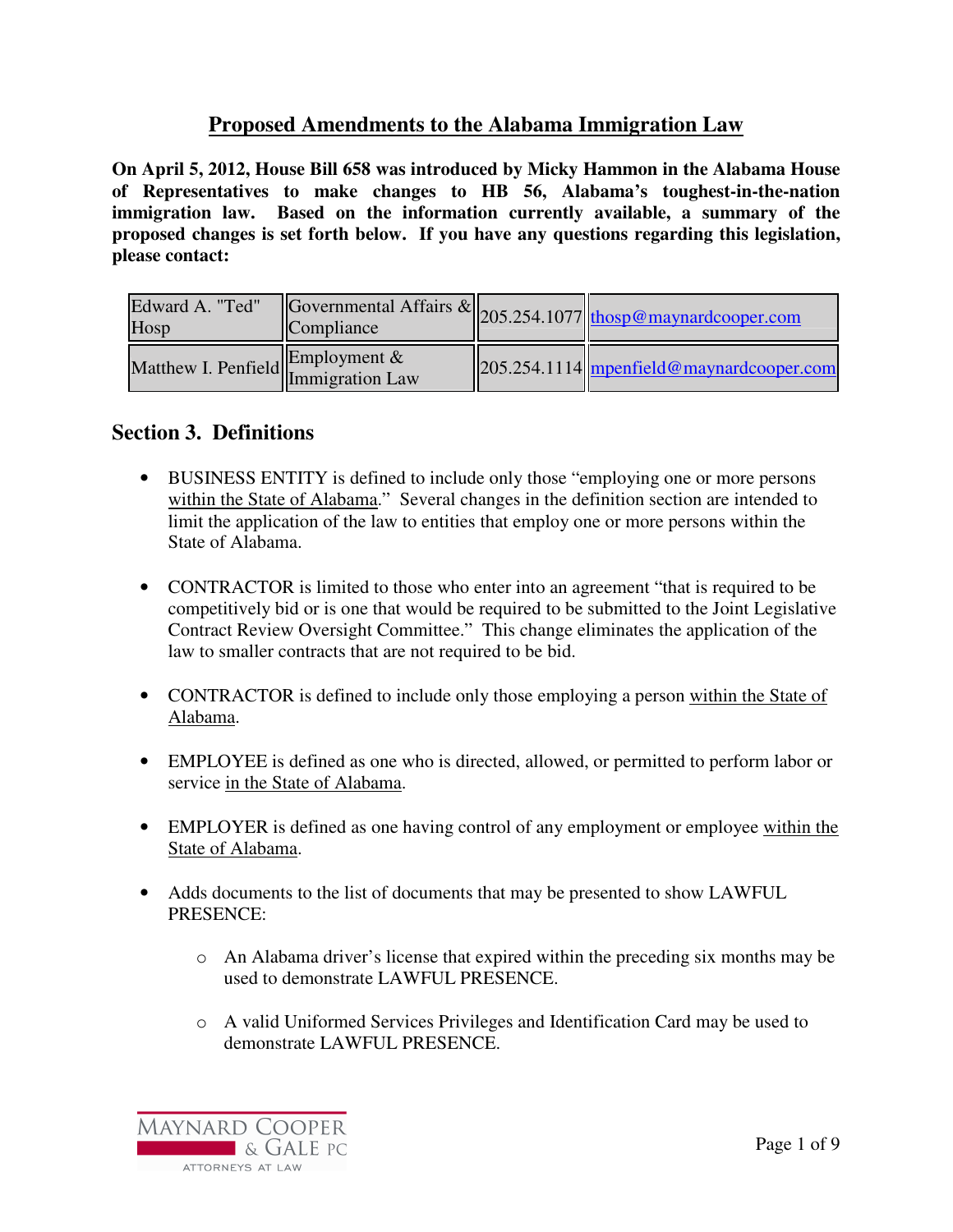# **Proposed Amendments to the Alabama Immigration Law**

**On April 5, 2012, House Bill 658 was introduced by Micky Hammon in the Alabama House of Representatives to make changes to HB 56, Alabama's toughest-in-the-nation immigration law. Based on the information currently available, a summary of the proposed changes is set forth below. If you have any questions regarding this legislation, please contact:** 

| Edward A. "Ted"<br>Hosp          |  | Governmental Affairs & 205.254.1077 thosp@maynardcooper.com |
|----------------------------------|--|-------------------------------------------------------------|
| Matthew I. Penfield Employment & |  | $205.254.1114$ mpenfield@maynardcooper.com                  |

#### **Section 3. Definitions**

- BUSINESS ENTITY is defined to include only those "employing one or more persons within the State of Alabama." Several changes in the definition section are intended to limit the application of the law to entities that employ one or more persons within the State of Alabama.
- CONTRACTOR is limited to those who enter into an agreement "that is required to be competitively bid or is one that would be required to be submitted to the Joint Legislative Contract Review Oversight Committee." This change eliminates the application of the law to smaller contracts that are not required to be bid.
- CONTRACTOR is defined to include only those employing a person within the State of Alabama.
- EMPLOYEE is defined as one who is directed, allowed, or permitted to perform labor or service in the State of Alabama.
- EMPLOYER is defined as one having control of any employment or employee within the State of Alabama.
- Adds documents to the list of documents that may be presented to show LAWFUL PRESENCE:
	- o An Alabama driver's license that expired within the preceding six months may be used to demonstrate LAWFUL PRESENCE.
	- o A valid Uniformed Services Privileges and Identification Card may be used to demonstrate LAWFUL PRESENCE.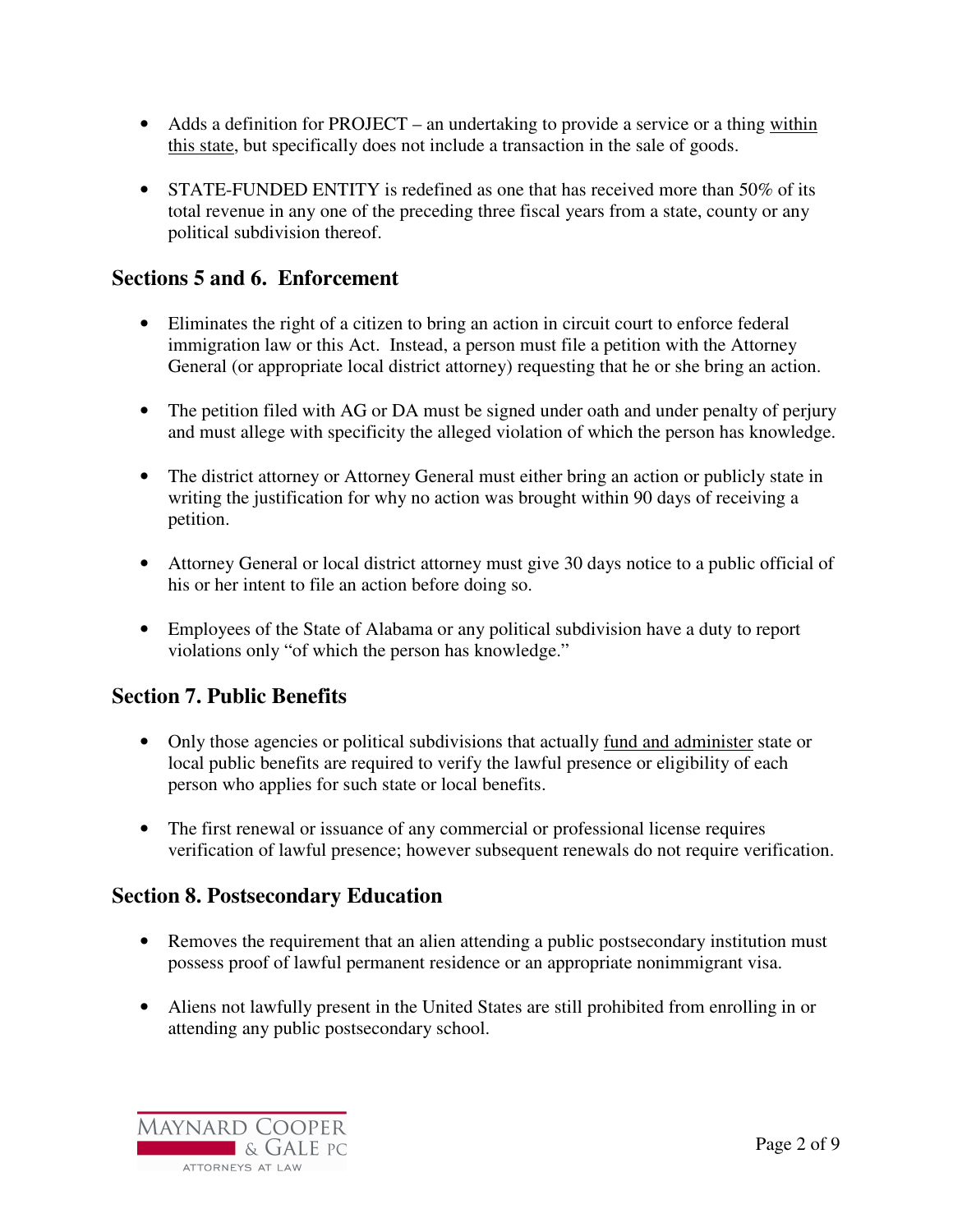- Adds a definition for PROJECT an undertaking to provide a service or a thing within this state, but specifically does not include a transaction in the sale of goods.
- STATE-FUNDED ENTITY is redefined as one that has received more than 50% of its total revenue in any one of the preceding three fiscal years from a state, county or any political subdivision thereof.

### **Sections 5 and 6. Enforcement**

- Eliminates the right of a citizen to bring an action in circuit court to enforce federal immigration law or this Act. Instead, a person must file a petition with the Attorney General (or appropriate local district attorney) requesting that he or she bring an action.
- The petition filed with AG or DA must be signed under oath and under penalty of perjury and must allege with specificity the alleged violation of which the person has knowledge.
- The district attorney or Attorney General must either bring an action or publicly state in writing the justification for why no action was brought within 90 days of receiving a petition.
- Attorney General or local district attorney must give 30 days notice to a public official of his or her intent to file an action before doing so.
- Employees of the State of Alabama or any political subdivision have a duty to report violations only "of which the person has knowledge."

# **Section 7. Public Benefits**

- Only those agencies or political subdivisions that actually fund and administer state or local public benefits are required to verify the lawful presence or eligibility of each person who applies for such state or local benefits.
- The first renewal or issuance of any commercial or professional license requires verification of lawful presence; however subsequent renewals do not require verification.

# **Section 8. Postsecondary Education**

- Removes the requirement that an alien attending a public postsecondary institution must possess proof of lawful permanent residence or an appropriate nonimmigrant visa.
- Aliens not lawfully present in the United States are still prohibited from enrolling in or attending any public postsecondary school.

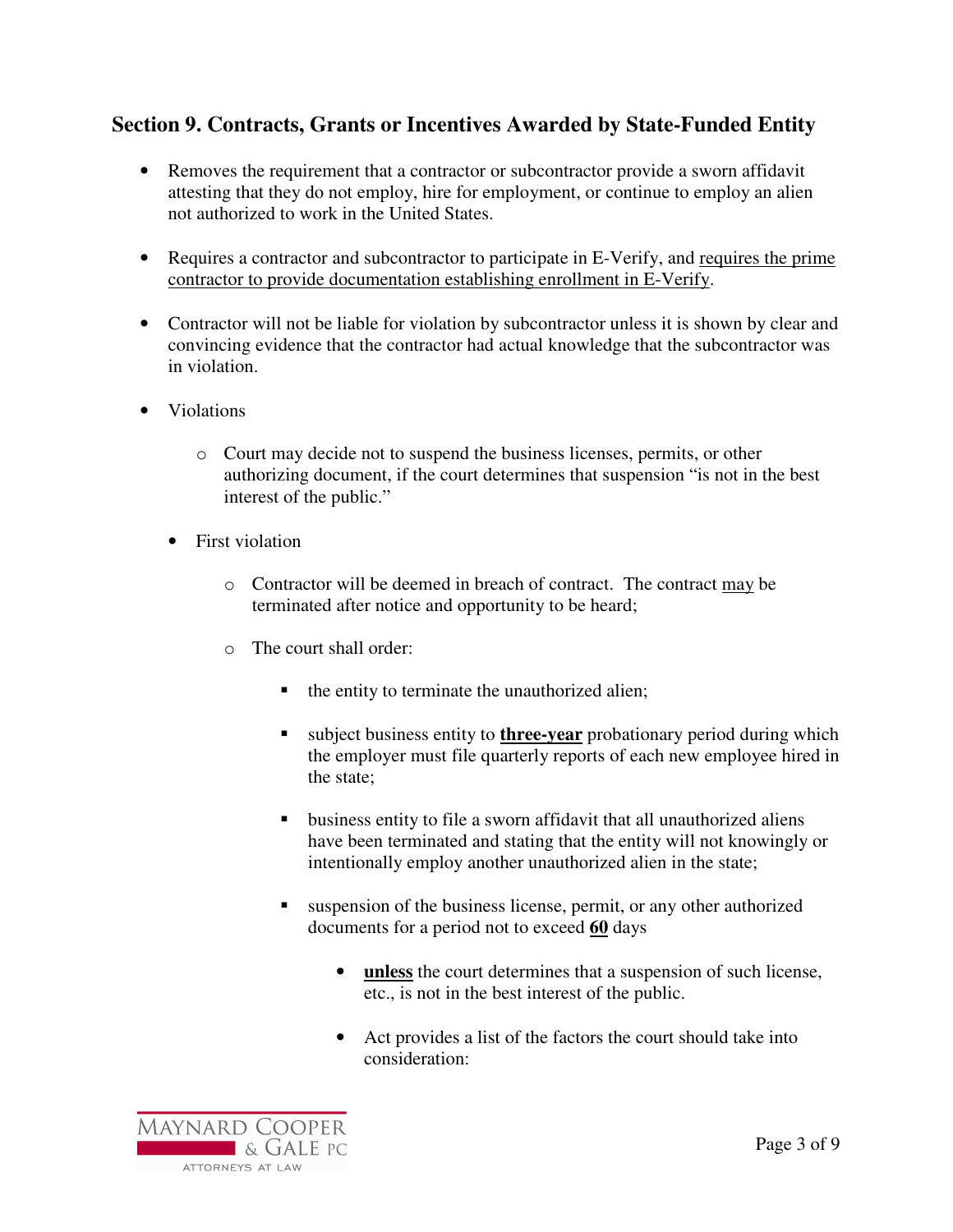# **Section 9. Contracts, Grants or Incentives Awarded by State-Funded Entity**

- Removes the requirement that a contractor or subcontractor provide a sworn affidavit attesting that they do not employ, hire for employment, or continue to employ an alien not authorized to work in the United States.
- Requires a contractor and subcontractor to participate in E-Verify, and requires the prime contractor to provide documentation establishing enrollment in E-Verify.
- Contractor will not be liable for violation by subcontractor unless it is shown by clear and convincing evidence that the contractor had actual knowledge that the subcontractor was in violation.
- Violations
	- o Court may decide not to suspend the business licenses, permits, or other authorizing document, if the court determines that suspension "is not in the best interest of the public."
	- First violation
		- o Contractor will be deemed in breach of contract. The contract may be terminated after notice and opportunity to be heard;
		- o The court shall order:
			- the entity to terminate the unauthorized alien;
			- subject business entity to **three-year** probationary period during which the employer must file quarterly reports of each new employee hired in the state;
			- business entity to file a sworn affidavit that all unauthorized aliens have been terminated and stating that the entity will not knowingly or intentionally employ another unauthorized alien in the state;
			- suspension of the business license, permit, or any other authorized documents for a period not to exceed **60** days
				- **unless** the court determines that a suspension of such license, etc., is not in the best interest of the public.
				- Act provides a list of the factors the court should take into consideration:

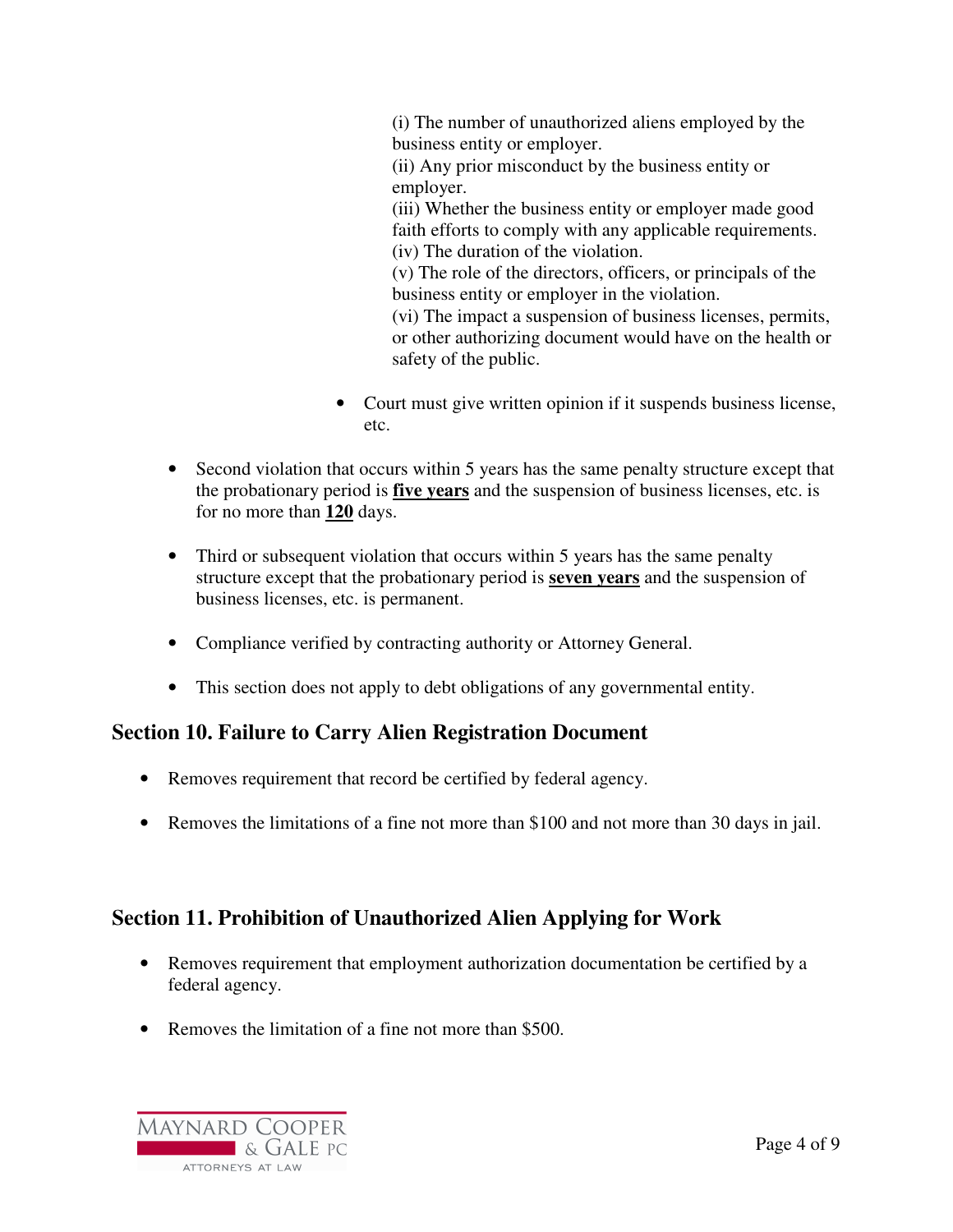(i) The number of unauthorized aliens employed by the business entity or employer. (ii) Any prior misconduct by the business entity or employer. (iii) Whether the business entity or employer made good faith efforts to comply with any applicable requirements. (iv) The duration of the violation. (v) The role of the directors, officers, or principals of the business entity or employer in the violation. (vi) The impact a suspension of business licenses, permits, or other authorizing document would have on the health or safety of the public.

- Court must give written opinion if it suspends business license, etc.
- Second violation that occurs within 5 years has the same penalty structure except that the probationary period is **five years** and the suspension of business licenses, etc. is for no more than **120** days.
- Third or subsequent violation that occurs within 5 years has the same penalty structure except that the probationary period is **seven years** and the suspension of business licenses, etc. is permanent.
- Compliance verified by contracting authority or Attorney General.
- This section does not apply to debt obligations of any governmental entity.

# **Section 10. Failure to Carry Alien Registration Document**

- Removes requirement that record be certified by federal agency.
- Removes the limitations of a fine not more than \$100 and not more than 30 days in jail.

# **Section 11. Prohibition of Unauthorized Alien Applying for Work**

- Removes requirement that employment authorization documentation be certified by a federal agency.
- Removes the limitation of a fine not more than \$500.

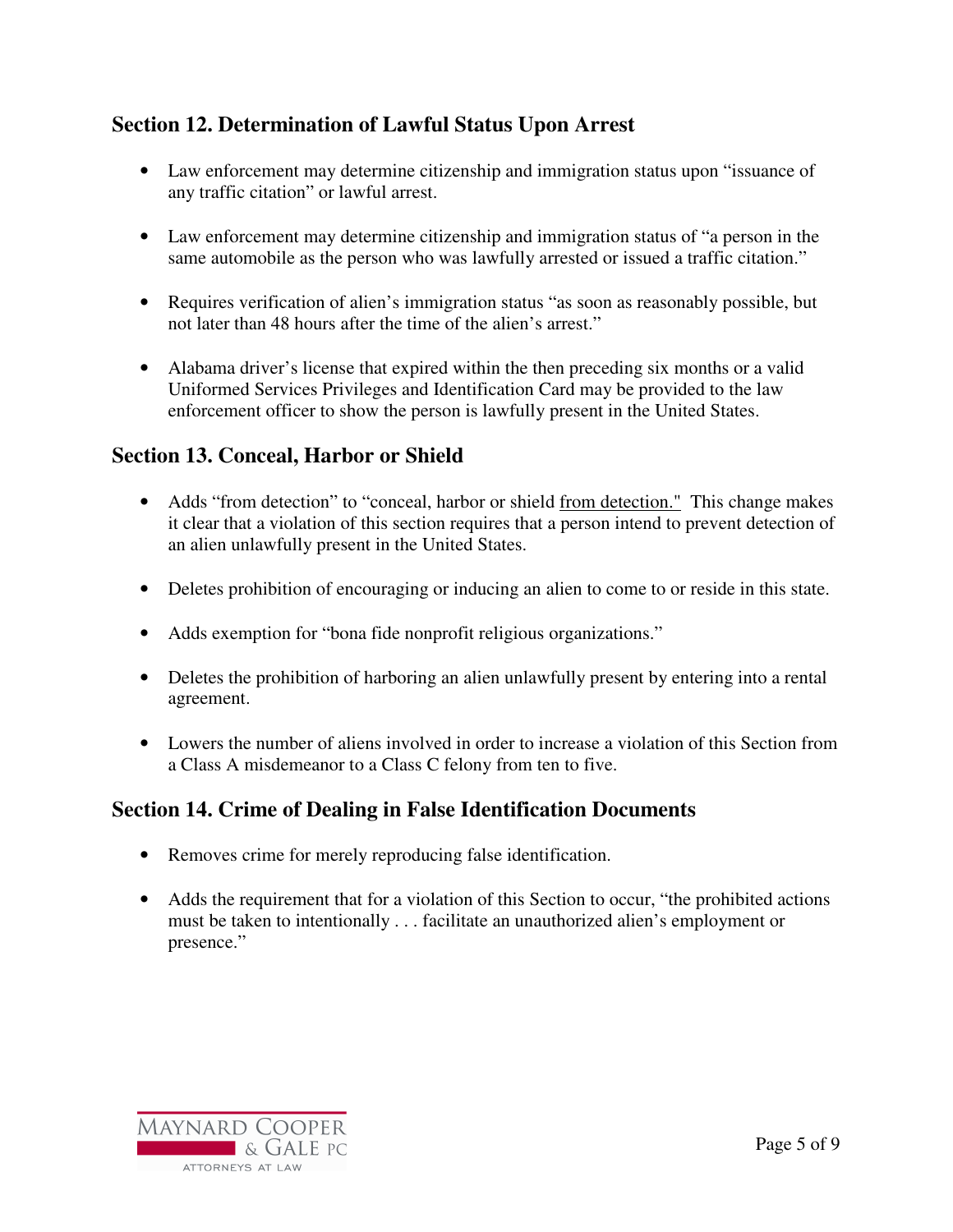# **Section 12. Determination of Lawful Status Upon Arrest**

- Law enforcement may determine citizenship and immigration status upon "issuance of any traffic citation" or lawful arrest.
- Law enforcement may determine citizenship and immigration status of "a person in the same automobile as the person who was lawfully arrested or issued a traffic citation."
- Requires verification of alien's immigration status "as soon as reasonably possible, but not later than 48 hours after the time of the alien's arrest."
- Alabama driver's license that expired within the then preceding six months or a valid Uniformed Services Privileges and Identification Card may be provided to the law enforcement officer to show the person is lawfully present in the United States.

# **Section 13. Conceal, Harbor or Shield**

- Adds "from detection" to "conceal, harbor or shield from detection." This change makes it clear that a violation of this section requires that a person intend to prevent detection of an alien unlawfully present in the United States.
- Deletes prohibition of encouraging or inducing an alien to come to or reside in this state.
- Adds exemption for "bona fide nonprofit religious organizations."
- Deletes the prohibition of harboring an alien unlawfully present by entering into a rental agreement.
- Lowers the number of aliens involved in order to increase a violation of this Section from a Class A misdemeanor to a Class C felony from ten to five.

# **Section 14. Crime of Dealing in False Identification Documents**

- Removes crime for merely reproducing false identification.
- Adds the requirement that for a violation of this Section to occur, "the prohibited actions" must be taken to intentionally . . . facilitate an unauthorized alien's employment or presence."

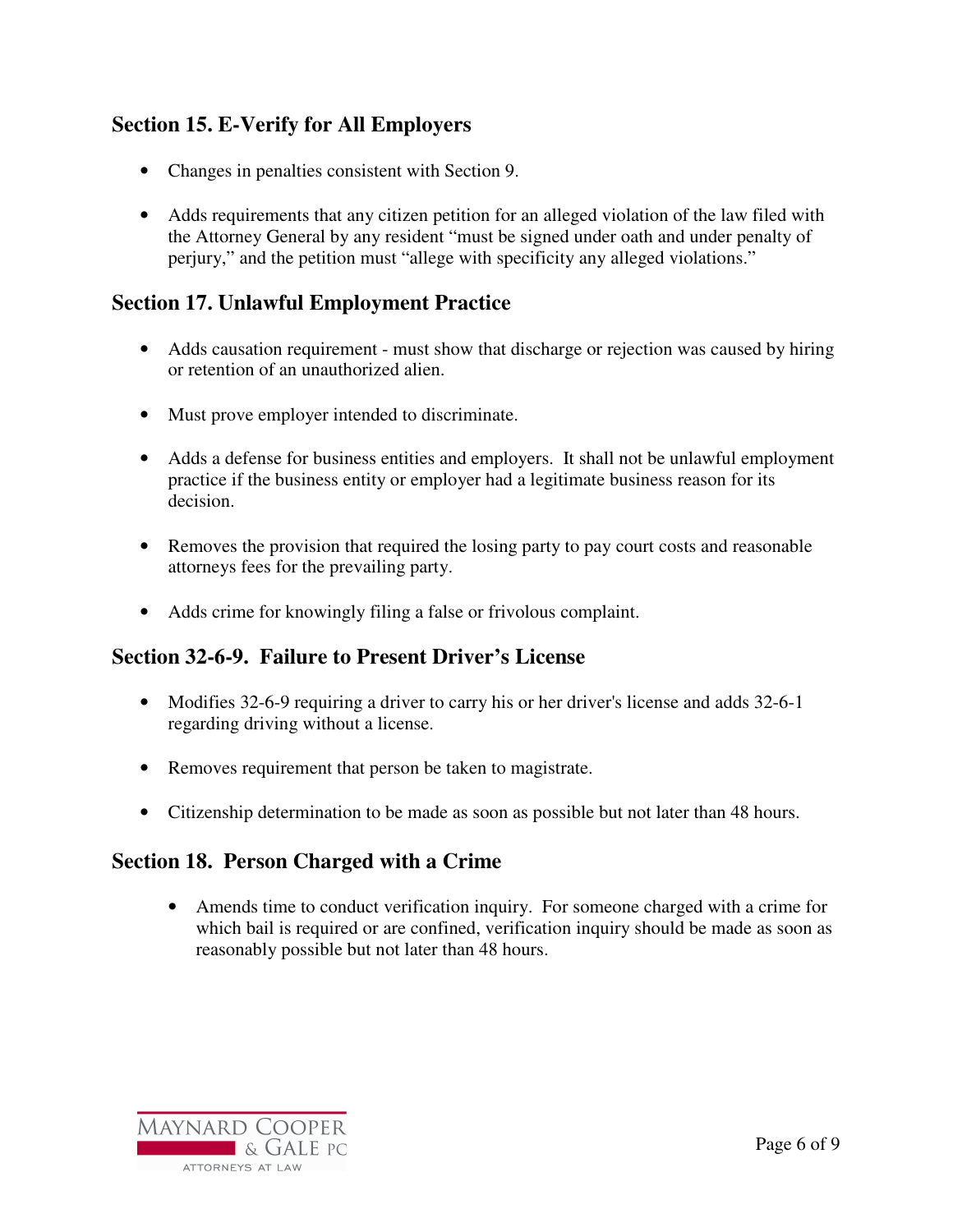# **Section 15. E-Verify for All Employers**

- Changes in penalties consistent with Section 9.
- Adds requirements that any citizen petition for an alleged violation of the law filed with the Attorney General by any resident "must be signed under oath and under penalty of perjury," and the petition must "allege with specificity any alleged violations."

### **Section 17. Unlawful Employment Practice**

- Adds causation requirement must show that discharge or rejection was caused by hiring or retention of an unauthorized alien.
- Must prove employer intended to discriminate.
- Adds a defense for business entities and employers. It shall not be unlawful employment practice if the business entity or employer had a legitimate business reason for its decision.
- Removes the provision that required the losing party to pay court costs and reasonable attorneys fees for the prevailing party.
- Adds crime for knowingly filing a false or frivolous complaint.

#### **Section 32-6-9. Failure to Present Driver's License**

- Modifies 32-6-9 requiring a driver to carry his or her driver's license and adds 32-6-1 regarding driving without a license.
- Removes requirement that person be taken to magistrate.
- Citizenship determination to be made as soon as possible but not later than 48 hours.

#### **Section 18. Person Charged with a Crime**

• Amends time to conduct verification inquiry. For someone charged with a crime for which bail is required or are confined, verification inquiry should be made as soon as reasonably possible but not later than 48 hours.

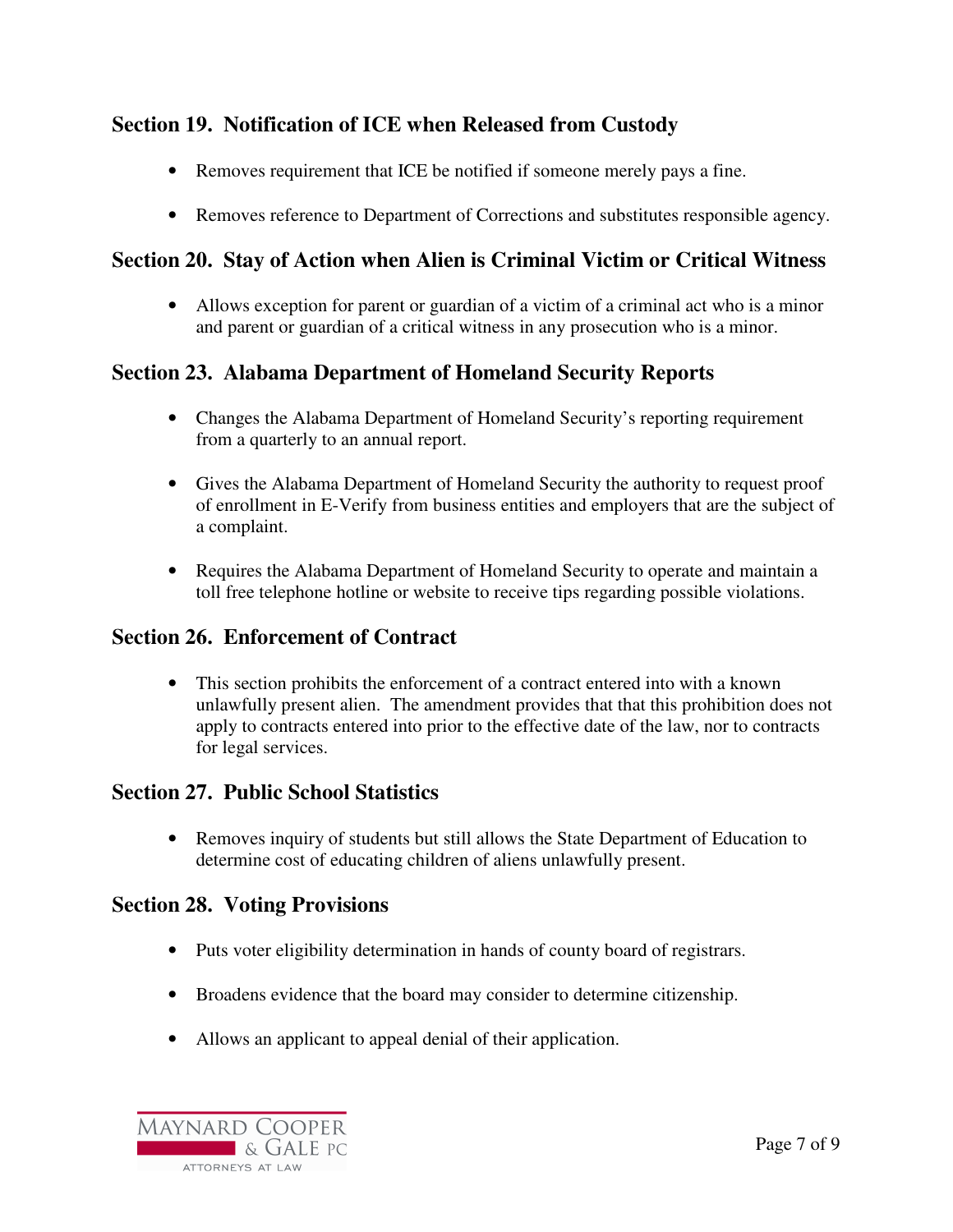# **Section 19. Notification of ICE when Released from Custody**

- Removes requirement that ICE be notified if someone merely pays a fine.
- Removes reference to Department of Corrections and substitutes responsible agency.

# **Section 20. Stay of Action when Alien is Criminal Victim or Critical Witness**

• Allows exception for parent or guardian of a victim of a criminal act who is a minor and parent or guardian of a critical witness in any prosecution who is a minor.

# **Section 23. Alabama Department of Homeland Security Reports**

- Changes the Alabama Department of Homeland Security's reporting requirement from a quarterly to an annual report.
- Gives the Alabama Department of Homeland Security the authority to request proof of enrollment in E-Verify from business entities and employers that are the subject of a complaint.
- Requires the Alabama Department of Homeland Security to operate and maintain a toll free telephone hotline or website to receive tips regarding possible violations.

# **Section 26. Enforcement of Contract**

• This section prohibits the enforcement of a contract entered into with a known unlawfully present alien. The amendment provides that that this prohibition does not apply to contracts entered into prior to the effective date of the law, nor to contracts for legal services.

# **Section 27. Public School Statistics**

• Removes inquiry of students but still allows the State Department of Education to determine cost of educating children of aliens unlawfully present.

# **Section 28. Voting Provisions**

- Puts voter eligibility determination in hands of county board of registrars.
- Broadens evidence that the board may consider to determine citizenship.
- Allows an applicant to appeal denial of their application.

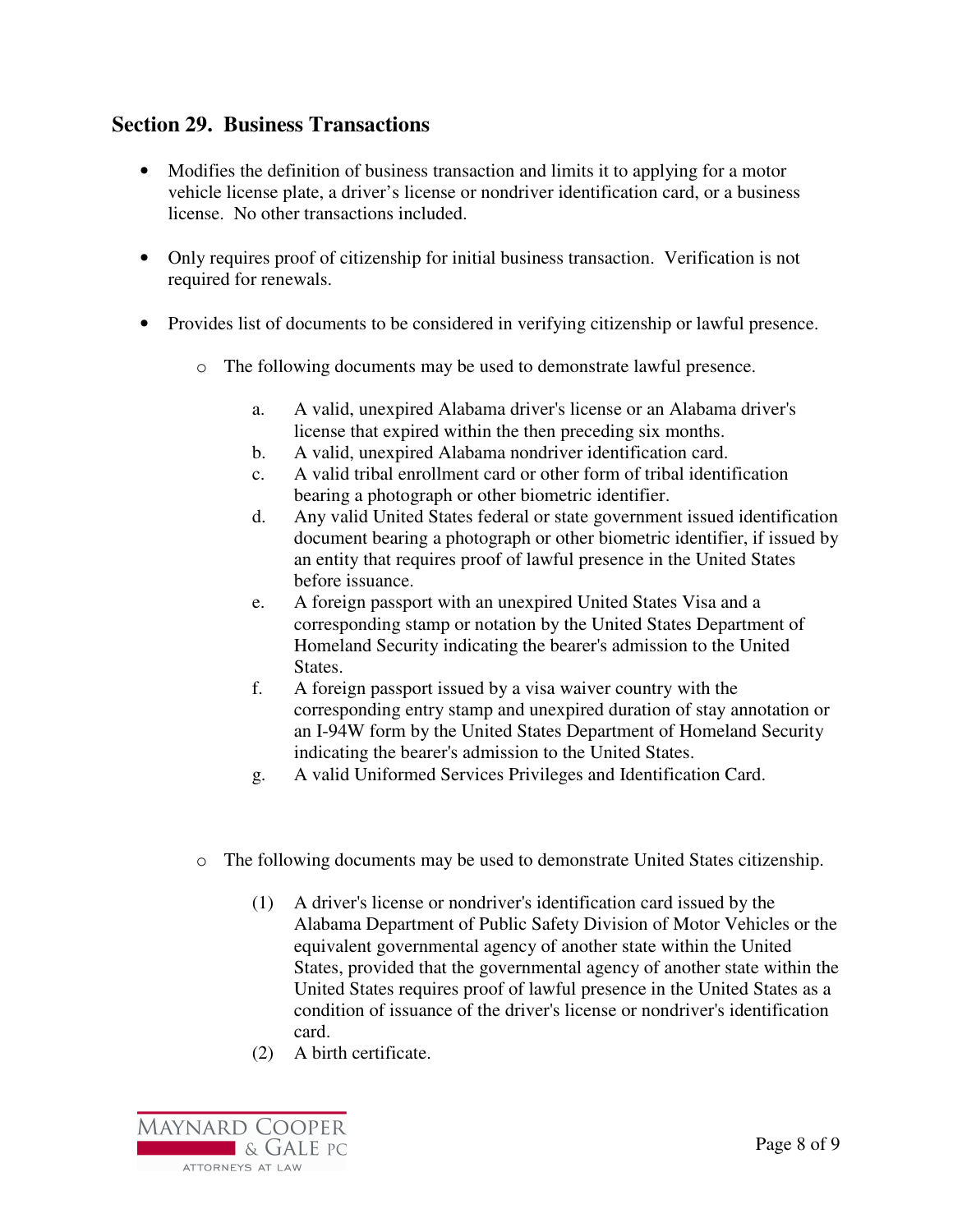#### **Section 29. Business Transactions**

- Modifies the definition of business transaction and limits it to applying for a motor vehicle license plate, a driver's license or nondriver identification card, or a business license. No other transactions included.
- Only requires proof of citizenship for initial business transaction. Verification is not required for renewals.
- Provides list of documents to be considered in verifying citizenship or lawful presence.
	- o The following documents may be used to demonstrate lawful presence.
		- a. A valid, unexpired Alabama driver's license or an Alabama driver's license that expired within the then preceding six months.
		- b. A valid, unexpired Alabama nondriver identification card.
		- c. A valid tribal enrollment card or other form of tribal identification bearing a photograph or other biometric identifier.
		- d. Any valid United States federal or state government issued identification document bearing a photograph or other biometric identifier, if issued by an entity that requires proof of lawful presence in the United States before issuance.
		- e. A foreign passport with an unexpired United States Visa and a corresponding stamp or notation by the United States Department of Homeland Security indicating the bearer's admission to the United States.
		- f. A foreign passport issued by a visa waiver country with the corresponding entry stamp and unexpired duration of stay annotation or an I-94W form by the United States Department of Homeland Security indicating the bearer's admission to the United States.
		- g. A valid Uniformed Services Privileges and Identification Card.
	- o The following documents may be used to demonstrate United States citizenship.
		- (1) A driver's license or nondriver's identification card issued by the Alabama Department of Public Safety Division of Motor Vehicles or the equivalent governmental agency of another state within the United States, provided that the governmental agency of another state within the United States requires proof of lawful presence in the United States as a condition of issuance of the driver's license or nondriver's identification card.
		- (2) A birth certificate.

**MAYNARD COOPER CONTRACTE AND SOLUTION** ATTORNEYS AT LAW